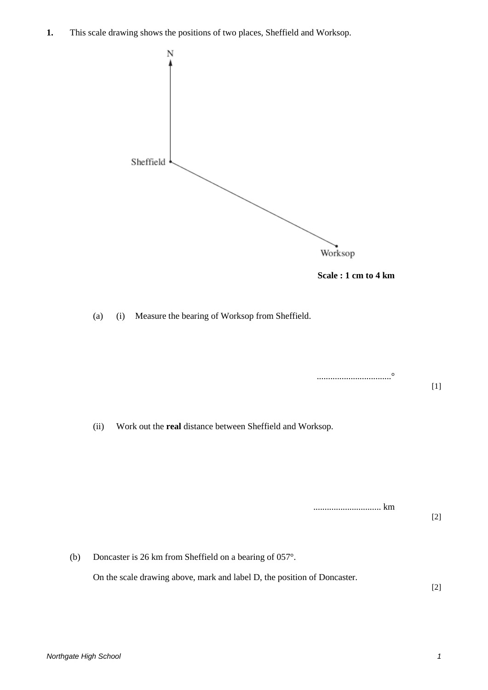**1.** This scale drawing shows the positions of two places, Sheffield and Worksop.





.................................°

(a) (i) Measure the bearing of Worksop from Sheffield.

[1] (ii) Work out the **real** distance between Sheffield and Worksop.

.............................. km

(b) Doncaster is 26 km from Sheffield on a bearing of 057°. On the scale drawing above, mark and label D, the position of Doncaster. [2]

[2]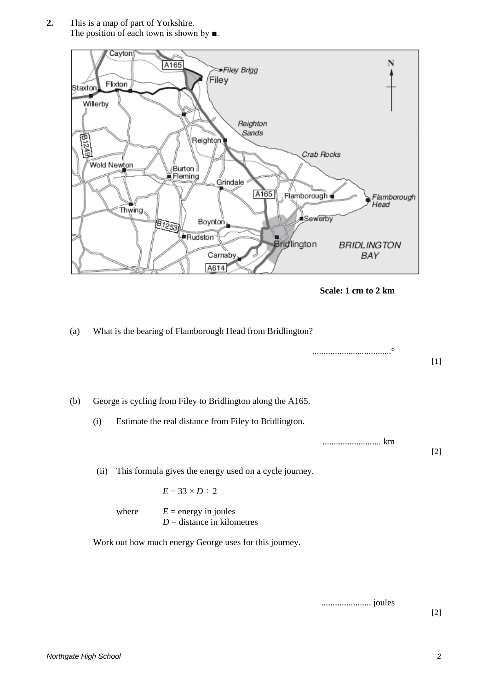**2.** This is a map of part of Yorkshire. The position of each town is shown by ■.



**Scale: 1 cm to 2 km**

## (a) What is the bearing of Flamborough Head from Bridlington?

|     |      |                                                                                    |                                                                                                                      | $\circ$ | $[1]$ |
|-----|------|------------------------------------------------------------------------------------|----------------------------------------------------------------------------------------------------------------------|---------|-------|
| (b) | (i)  |                                                                                    | George is cycling from Filey to Bridlington along the A165.<br>Estimate the real distance from Filey to Bridlington. |         |       |
|     |      |                                                                                    |                                                                                                                      | km      | $[2]$ |
|     | (ii) | This formula gives the energy used on a cycle journey.<br>$E = 33 \times D \div 2$ |                                                                                                                      |         |       |
|     |      | where                                                                              | $E =$ energy in joules<br>$D =$ distance in kilometres                                                               |         |       |

Work out how much energy George uses for this journey.

...................... joules

[2]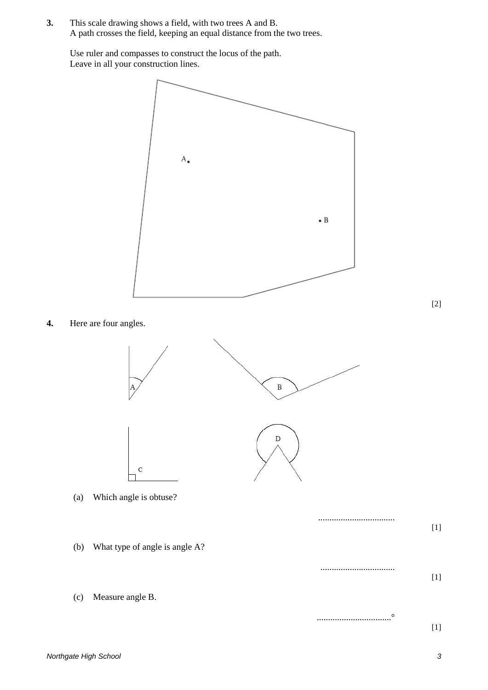**3.** This scale drawing shows a field, with two trees A and B. A path crosses the field, keeping an equal distance from the two trees.

Use ruler and compasses to construct the locus of the path. Leave in all your construction lines.



[2]

**4.** Here are four angles.



- (a) Which angle is obtuse?
- (b) What type of angle is angle A?

(c) Measure angle B.

[1]

[1]

[1]

..................................

.................................

.................................°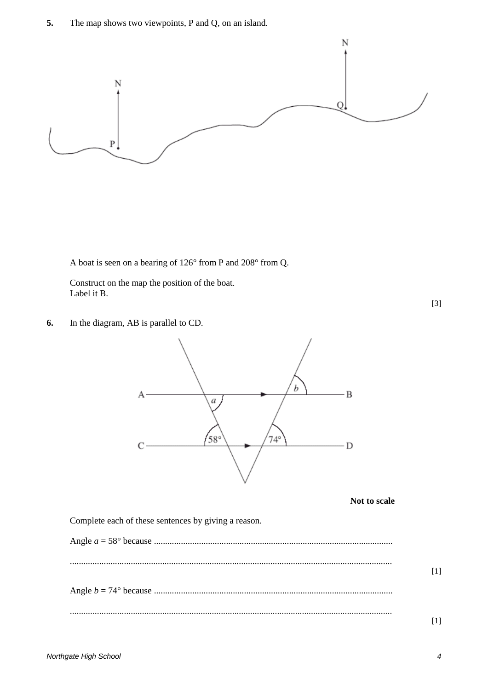**5.** The map shows two viewpoints, P and Q, on an island.



A boat is seen on a bearing of 126° from P and 208° from Q.

Construct on the map the position of the boat. Label it B.

[3]

**6.** In the diagram, AB is parallel to CD.



**Not to scale**

Complete each of these sentences by giving a reason.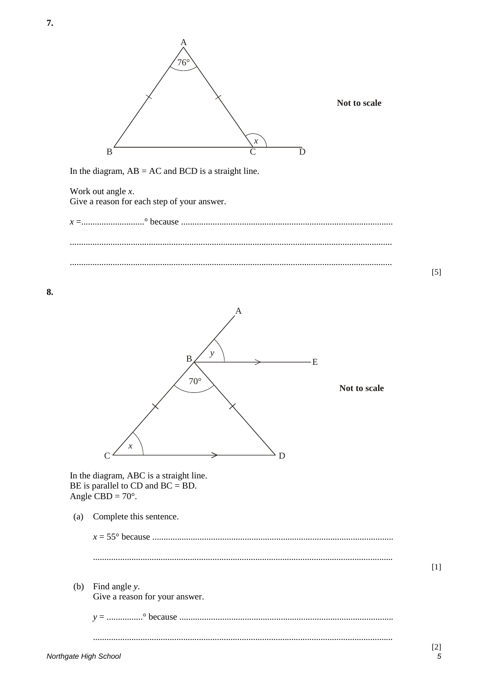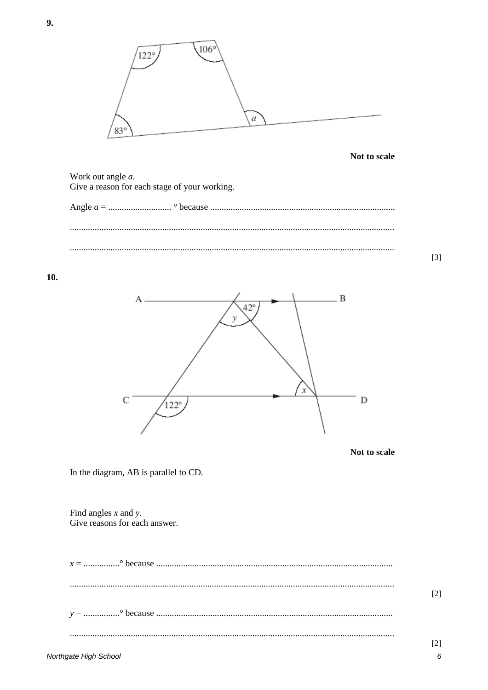

10.

9.





 $\lceil 3 \rceil$ 

In the diagram, AB is parallel to CD.

Find angles  $x$  and  $y$ . Give reasons for each answer.

 $[2]$  $[2]$ 

 $6\overline{6}$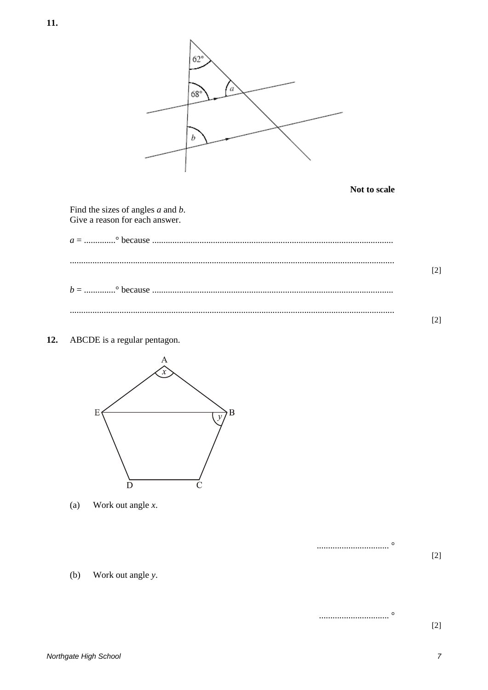

Not to scale

Find the sizes of angles  $a$  and  $b$ . Give a reason for each answer.

 $12.$ ABCDE is a regular pentagon.



Work out angle  $x$ .  $(a)$ 





 $[2]$